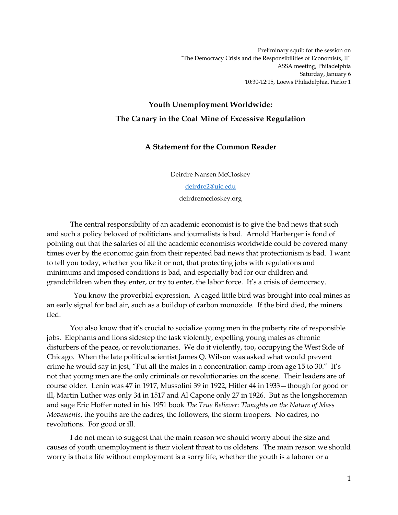Preliminary squib for the session on "The Democracy Crisis and the Responsibilities of Economists, II" ASSA meeting, Philadelphia Saturday, January 6 10:30-12:15, Loews Philadelphia, Parlor 1

## **Youth Unemployment Worldwide: The Canary in the Coal Mine of Excessive Regulation**

## **A Statement for the Common Reader**

Deirdre Nansen McCloskey

[deirdre2@uic.edu](mailto:deirdre2@uic.edu)

deirdremccloskey.org

The central responsibility of an academic economist is to give the bad news that such and such a policy beloved of politicians and journalists is bad. Arnold Harberger is fond of pointing out that the salaries of all the academic economists worldwide could be covered many times over by the economic gain from their repeated bad news that protectionism is bad. I want to tell you today, whether you like it or not, that protecting jobs with regulations and minimums and imposed conditions is bad, and especially bad for our children and grandchildren when they enter, or try to enter, the labor force. It's a crisis of democracy.

You know the proverbial expression. A caged little bird was brought into coal mines as an early signal for bad air, such as a buildup of carbon monoxide. If the bird died, the miners fled.

You also know that it's crucial to socialize young men in the puberty rite of responsible jobs. Elephants and lions sidestep the task violently, expelling young males as chronic disturbers of the peace, or revolutionaries. We do it violently, too, occupying the West Side of Chicago. When the late political scientist James Q. Wilson was asked what would prevent crime he would say in jest, "Put all the males in a concentration camp from age 15 to 30." It's not that young men are the only criminals or revolutionaries on the scene. Their leaders are of course older. Lenin was 47 in 1917, Mussolini 39 in 1922, Hitler 44 in 1933—though for good or ill, Martin Luther was only 34 in 1517 and Al Capone only 27 in 1926. But as the longshoreman and sage Eric Hoffer noted in his 1951 book *The True Believer*: *Thoughts on the Nature of Mass Movements*, the youths are the cadres, the followers, the storm troopers. No cadres, no revolutions. For good or ill.

I do not mean to suggest that the main reason we should worry about the size and causes of youth unemployment is their violent threat to us oldsters. The main reason we should worry is that a life without employment is a sorry life, whether the youth is a laborer or a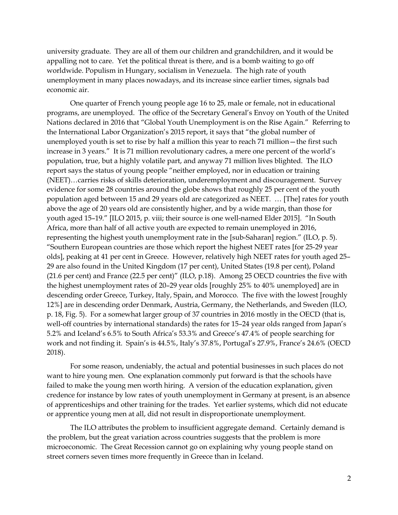university graduate. They are all of them our children and grandchildren, and it would be appalling not to care. Yet the political threat is there, and is a bomb waiting to go off worldwide. Populism in Hungary, socialism in Venezuela. The high rate of youth unemployment in many places nowadays, and its increase since earlier times, signals bad economic air.

One quarter of French young people age 16 to 25, male or female, not in educational programs, are unemployed. The office of the Secretary General's Envoy on Youth of the United Nations declared in 2016 that "Global Youth Unemployment is on the Rise Again." Referring to the International Labor Organization's 2015 report, it says that "the global number of unemployed youth is set to rise by half a million this year to reach 71 million—the first such increase in 3 years." It is 71 million revolutionary cadres, a mere one percent of the world's population, true, but a highly volatile part, and anyway 71 million lives blighted. The ILO report says the status of young people "neither employed, nor in education or training (NEET)…carries risks of skills deterioration, underemployment and discouragement. Survey evidence for some 28 countries around the globe shows that roughly 25 per cent of the youth population aged between 15 and 29 years old are categorized as NEET. … [The] rates for youth above the age of 20 years old are consistently higher, and by a wide margin, than those for youth aged 15–19." [ILO 2015, p. viii; their source is one well-named Elder 2015]. "In South Africa, more than half of all active youth are expected to remain unemployed in 2016, representing the highest youth unemployment rate in the [sub-Saharan] region." (ILO, p. 5). "Southern European countries are those which report the highest NEET rates [for 25-29 year olds], peaking at 41 per cent in Greece. However, relatively high NEET rates for youth aged 25– 29 are also found in the United Kingdom (17 per cent), United States (19.8 per cent), Poland (21.6 per cent) and France (22.5 per cent)" (ILO, p.18). Among 25 OECD countries the five with the highest unemployment rates of 20–29 year olds [roughly 25% to 40% unemployed] are in descending order Greece, Turkey, Italy, Spain, and Morocco. The five with the lowest [roughly 12%] are in descending order Denmark, Austria, Germany, the Netherlands, and Sweden (ILO, p. 18, Fig. 5). For a somewhat larger group of 37 countries in 2016 mostly in the OECD (that is, well-off countries by international standards) the rates for 15–24 year olds ranged from Japan's 5.2% and Iceland's 6.5% to South Africa's 53.3% and Greece's 47.4% of people searching for work and not finding it. Spain's is 44.5%, Italy's 37.8%, Portugal's 27.9%, France's 24.6% (OECD 2018).

For some reason, undeniably, the actual and potential businesses in such places do not want to hire young men. One explanation commonly put forward is that the schools have failed to make the young men worth hiring. A version of the education explanation, given credence for instance by low rates of youth unemployment in Germany at present, is an absence of apprenticeships and other training for the trades. Yet earlier systems, which did not educate or apprentice young men at all, did not result in disproportionate unemployment.

The ILO attributes the problem to insufficient aggregate demand. Certainly demand is the problem, but the great variation across countries suggests that the problem is more microeconomic. The Great Recession cannot go on explaining why young people stand on street corners seven times more frequently in Greece than in Iceland.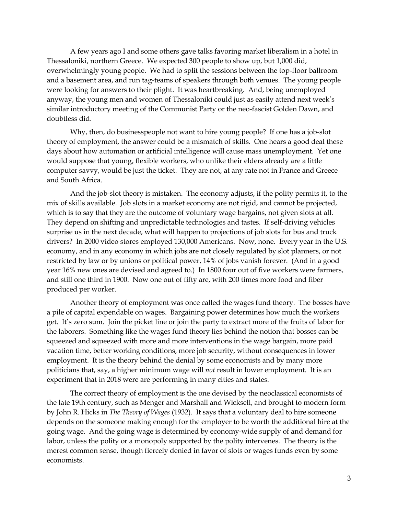A few years ago I and some others gave talks favoring market liberalism in a hotel in Thessaloniki, northern Greece. We expected 300 people to show up, but 1,000 did, overwhelmingly young people. We had to split the sessions between the top-floor ballroom and a basement area, and run tag-teams of speakers through both venues. The young people were looking for answers to their plight. It was heartbreaking. And, being unemployed anyway, the young men and women of Thessaloniki could just as easily attend next week's similar introductory meeting of the Communist Party or the neo-fascist Golden Dawn, and doubtless did.

Why, then, do businesspeople not want to hire young people? If one has a job-slot theory of employment, the answer could be a mismatch of skills. One hears a good deal these days about how automation or artificial intelligence will cause mass unemployment. Yet one would suppose that young, flexible workers, who unlike their elders already are a little computer savvy, would be just the ticket. They are not, at any rate not in France and Greece and South Africa.

And the job-slot theory is mistaken. The economy adjusts, if the polity permits it, to the mix of skills available. Job slots in a market economy are not rigid, and cannot be projected, which is to say that they are the outcome of voluntary wage bargains, not given slots at all. They depend on shifting and unpredictable technologies and tastes. If self-driving vehicles surprise us in the next decade, what will happen to projections of job slots for bus and truck drivers? In 2000 video stores employed 130,000 Americans. Now, none. Every year in the U.S. economy, and in any economy in which jobs are not closely regulated by slot planners, or not restricted by law or by unions or political power, 14% of jobs vanish forever. (And in a good year 16% new ones are devised and agreed to.) In 1800 four out of five workers were farmers, and still one third in 1900. Now one out of fifty are, with 200 times more food and fiber produced per worker.

Another theory of employment was once called the wages fund theory. The bosses have a pile of capital expendable on wages. Bargaining power determines how much the workers get. It's zero sum. Join the picket line or join the party to extract more of the fruits of labor for the laborers. Something like the wages fund theory lies behind the notion that bosses can be squeezed and squeezed with more and more interventions in the wage bargain, more paid vacation time, better working conditions, more job security, without consequences in lower employment. It is the theory behind the denial by some economists and by many more politicians that, say, a higher minimum wage will *not* result in lower employment. It is an experiment that in 2018 were are performing in many cities and states.

The correct theory of employment is the one devised by the neoclassical economists of the late 19th century, such as Menger and Marshall and Wicksell, and brought to modern form by John R. Hicks in *The Theory of Wages* (1932). It says that a voluntary deal to hire someone depends on the someone making enough for the employer to be worth the additional hire at the going wage. And the going wage is determined by economy-wide supply of and demand for labor, unless the polity or a monopoly supported by the polity intervenes. The theory is the merest common sense, though fiercely denied in favor of slots or wages funds even by some economists.